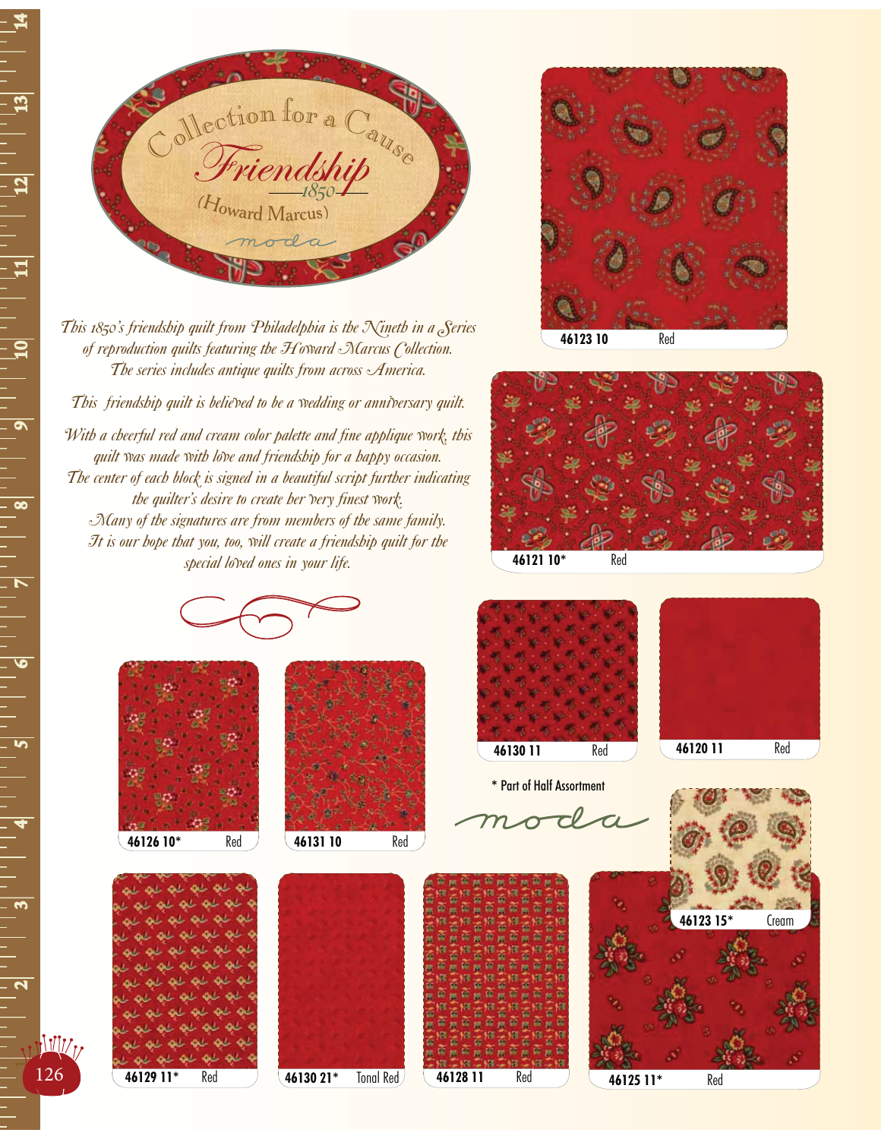

*This 1850's friendship quilt from Philadelphia is the Nineth in a Series of reproduction quilts featuring the Howard Marcus Collection. The series includes antique quilts from across America.*

*This friendship quilt is believed to be a wedding or anniversary quilt.*

*With a cheerful red and cream color palette and fine applique work, this quilt was made with love and friendship for a happy occasion. The center of each block is signed in a beautiful script further indicating the quilter's desire to create her very finest work. Many of the signatures are from members of the same family. It is our hope that you, too, will create a friendship quilt for the special loved ones in your life.*



**46121 10\*** Red











**\*** Part of Half Assortment







126

 $\mathcal{U}/\mathcal{U}$ 

 $\overline{\mathbf{c}}$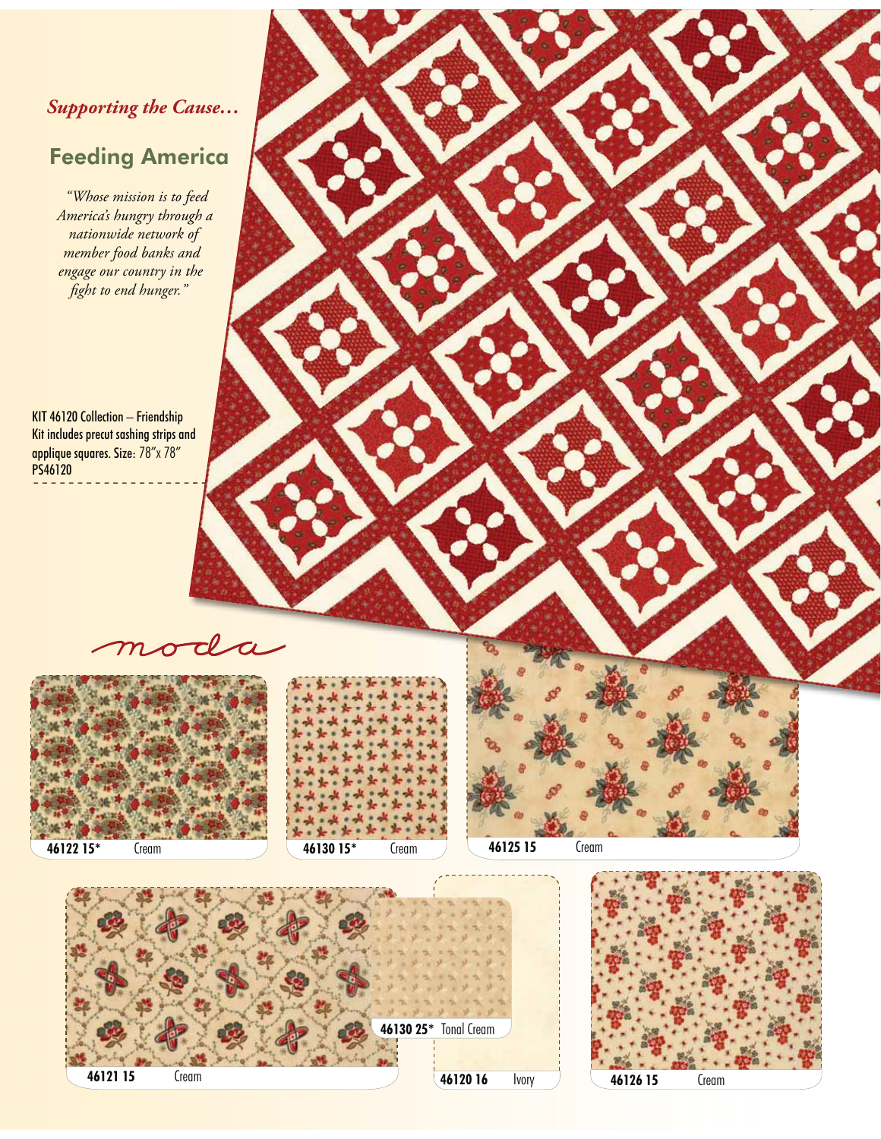## **Supporting the Cause...**

## **Feeding America**

"Whose mission is to feed America's hungry through a nationwide network of member food banks and engage our country in the<br>fight to end hunger."

KIT 46120 Collection - Friendship Kit includes precut sashing strips and applique squares. Size: 78"x 78" PS46120



moda











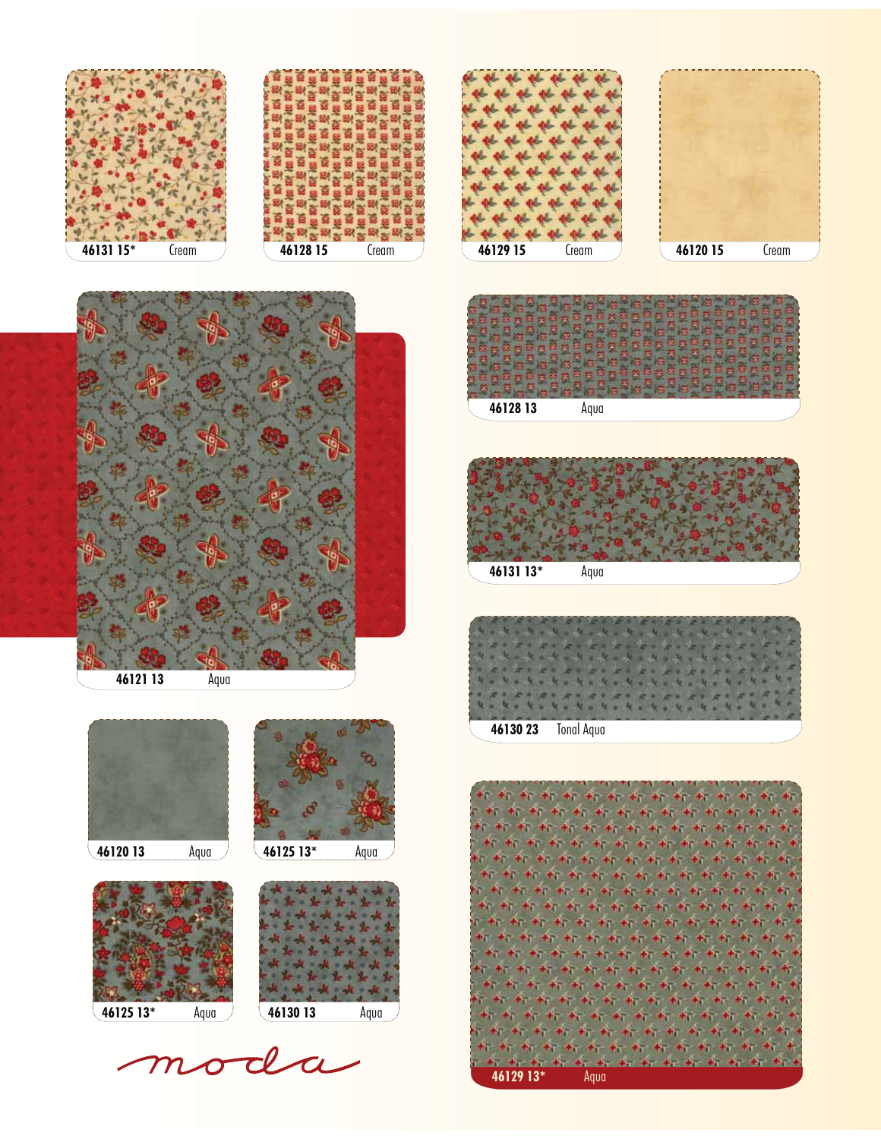moda



**46120 13** Aqua



**46121 13** Aqua



















की की की की **46129 13\*** Aqua